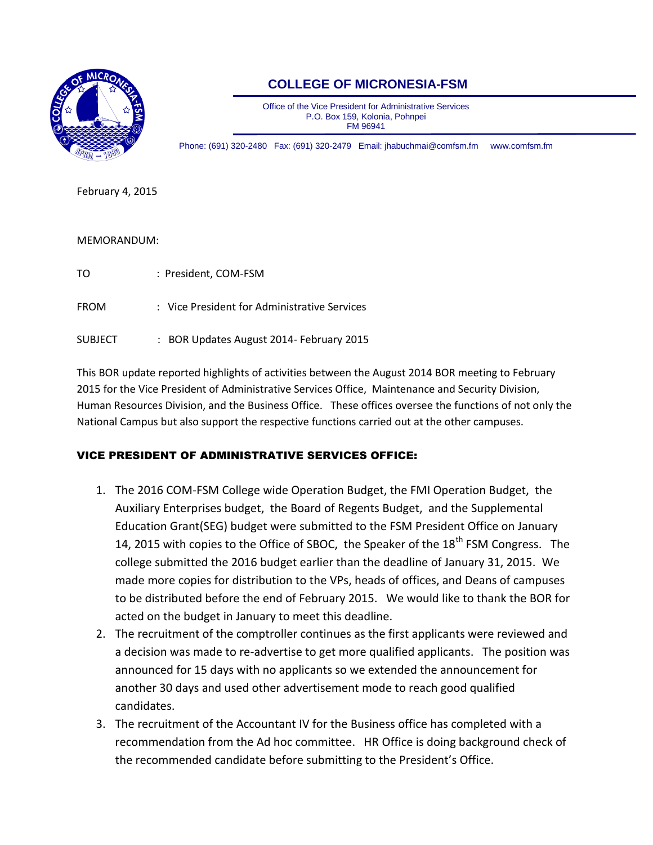

# **COLLEGE OF MICRONESIA-FSM**

Office of the Vice President for Administrative Services P.O. Box 159, Kolonia, Pohnpei FM 96941

Phone: (691) 320-2480 Fax: (691) 320-2479 Email[: jhabuchmai@comfsm.fm](mailto:jhabuchmai@comfsm.fm) www.comfsm.fm

February 4, 2015

#### MEMORANDUM:

| TΟ             | : President, COM-FSM                         |
|----------------|----------------------------------------------|
| <b>FROM</b>    | : Vice President for Administrative Services |
| <b>SUBJECT</b> | : BOR Updates August 2014- February 2015     |

This BOR update reported highlights of activities between the August 2014 BOR meeting to February 2015 for the Vice President of Administrative Services Office, Maintenance and Security Division, Human Resources Division, and the Business Office. These offices oversee the functions of not only the National Campus but also support the respective functions carried out at the other campuses.

#### VICE PRESIDENT OF ADMINISTRATIVE SERVICES OFFICE:

- 1. The 2016 COM-FSM College wide Operation Budget, the FMI Operation Budget, the Auxiliary Enterprises budget, the Board of Regents Budget, and the Supplemental Education Grant(SEG) budget were submitted to the FSM President Office on January 14, 2015 with copies to the Office of SBOC, the Speaker of the  $18<sup>th</sup>$  FSM Congress. The college submitted the 2016 budget earlier than the deadline of January 31, 2015. We made more copies for distribution to the VPs, heads of offices, and Deans of campuses to be distributed before the end of February 2015. We would like to thank the BOR for acted on the budget in January to meet this deadline.
- 2. The recruitment of the comptroller continues as the first applicants were reviewed and a decision was made to re-advertise to get more qualified applicants. The position was announced for 15 days with no applicants so we extended the announcement for another 30 days and used other advertisement mode to reach good qualified candidates.
- 3. The recruitment of the Accountant IV for the Business office has completed with a recommendation from the Ad hoc committee. HR Office is doing background check of the recommended candidate before submitting to the President's Office.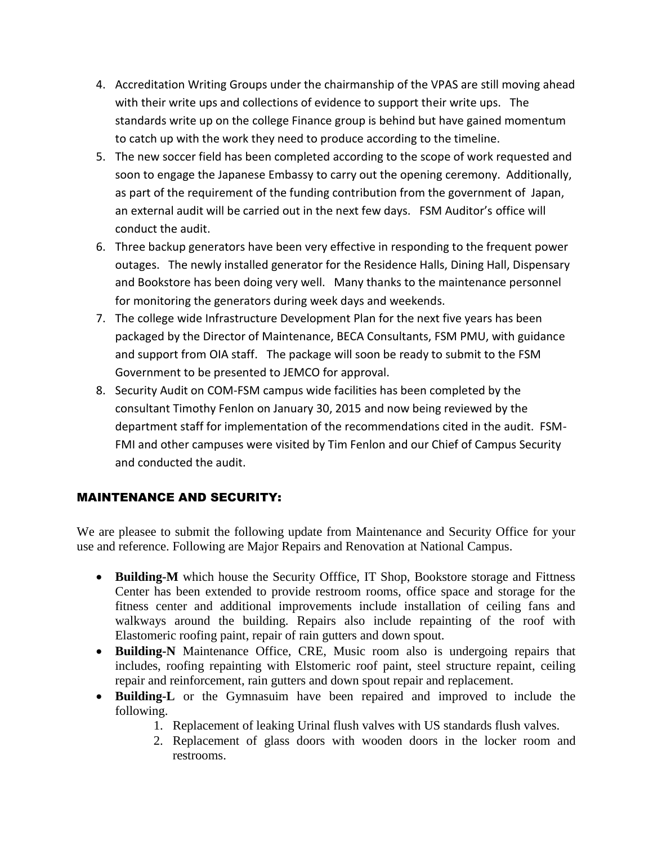- 4. Accreditation Writing Groups under the chairmanship of the VPAS are still moving ahead with their write ups and collections of evidence to support their write ups. The standards write up on the college Finance group is behind but have gained momentum to catch up with the work they need to produce according to the timeline.
- 5. The new soccer field has been completed according to the scope of work requested and soon to engage the Japanese Embassy to carry out the opening ceremony. Additionally, as part of the requirement of the funding contribution from the government of Japan, an external audit will be carried out in the next few days. FSM Auditor's office will conduct the audit.
- 6. Three backup generators have been very effective in responding to the frequent power outages. The newly installed generator for the Residence Halls, Dining Hall, Dispensary and Bookstore has been doing very well. Many thanks to the maintenance personnel for monitoring the generators during week days and weekends.
- 7. The college wide Infrastructure Development Plan for the next five years has been packaged by the Director of Maintenance, BECA Consultants, FSM PMU, with guidance and support from OIA staff. The package will soon be ready to submit to the FSM Government to be presented to JEMCO for approval.
- 8. Security Audit on COM-FSM campus wide facilities has been completed by the consultant Timothy Fenlon on January 30, 2015 and now being reviewed by the department staff for implementation of the recommendations cited in the audit. FSM-FMI and other campuses were visited by Tim Fenlon and our Chief of Campus Security and conducted the audit.

# MAINTENANCE AND SECURITY:

We are pleasee to submit the following update from Maintenance and Security Office for your use and reference. Following are Major Repairs and Renovation at National Campus.

- Building-M which house the Security Offfice, IT Shop, Bookstore storage and Fittness Center has been extended to provide restroom rooms, office space and storage for the fitness center and additional improvements include installation of ceiling fans and walkways around the building. Repairs also include repainting of the roof with Elastomeric roofing paint, repair of rain gutters and down spout.
- **Building-N** Maintenance Office, CRE, Music room also is undergoing repairs that includes, roofing repainting with Elstomeric roof paint, steel structure repaint, ceiling repair and reinforcement, rain gutters and down spout repair and replacement.
- **Building-L** or the Gymnasuim have been repaired and improved to include the following.
	- 1. Replacement of leaking Urinal flush valves with US standards flush valves.
	- 2. Replacement of glass doors with wooden doors in the locker room and restrooms.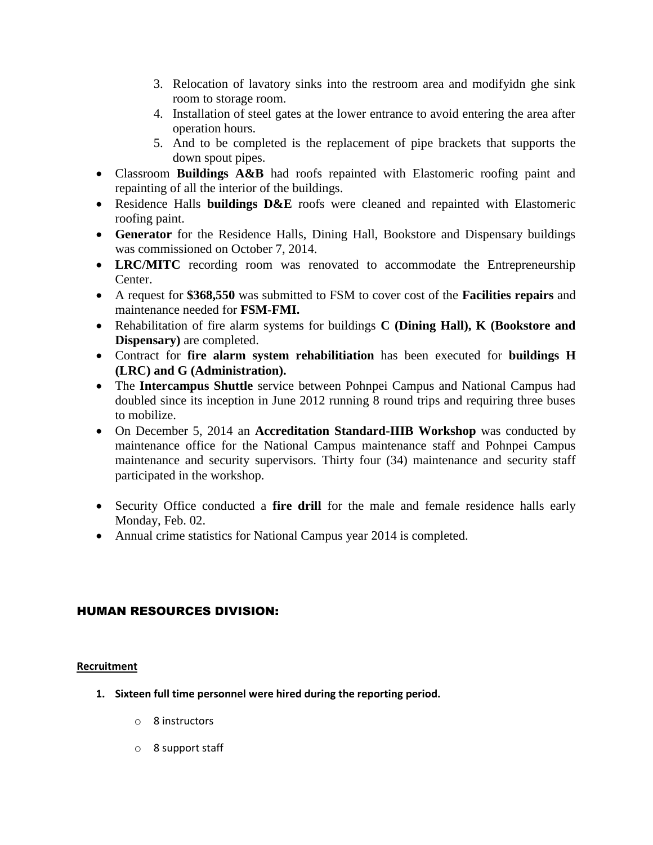- 3. Relocation of lavatory sinks into the restroom area and modifyidn ghe sink room to storage room.
- 4. Installation of steel gates at the lower entrance to avoid entering the area after operation hours.
- 5. And to be completed is the replacement of pipe brackets that supports the down spout pipes.
- Classroom **Buildings A&B** had roofs repainted with Elastomeric roofing paint and repainting of all the interior of the buildings.
- Residence Halls **buildings D&E** roofs were cleaned and repainted with Elastomeric roofing paint.
- **Generator** for the Residence Halls, Dining Hall, Bookstore and Dispensary buildings was commissioned on October 7, 2014.
- LRC/MITC recording room was renovated to accommodate the Entrepreneurship Center.
- A request for **\$368,550** was submitted to FSM to cover cost of the **Facilities repairs** and maintenance needed for **FSM-FMI.**
- Rehabilitation of fire alarm systems for buildings **C (Dining Hall), K (Bookstore and Dispensary)** are completed.
- Contract for **fire alarm system rehabilitiation** has been executed for **buildings H (LRC) and G (Administration).**
- The **Intercampus Shuttle** service between Pohnpei Campus and National Campus had doubled since its inception in June 2012 running 8 round trips and requiring three buses to mobilize.
- On December 5, 2014 an **Accreditation Standard-IIIB Workshop** was conducted by maintenance office for the National Campus maintenance staff and Pohnpei Campus maintenance and security supervisors. Thirty four (34) maintenance and security staff participated in the workshop.
- Security Office conducted a **fire drill** for the male and female residence halls early Monday, Feb. 02.
- Annual crime statistics for National Campus year 2014 is completed.

### HUMAN RESOURCES DIVISION:

#### **Recruitment**

- **1. Sixteen full time personnel were hired during the reporting period.**
	- o 8 instructors
	- o 8 support staff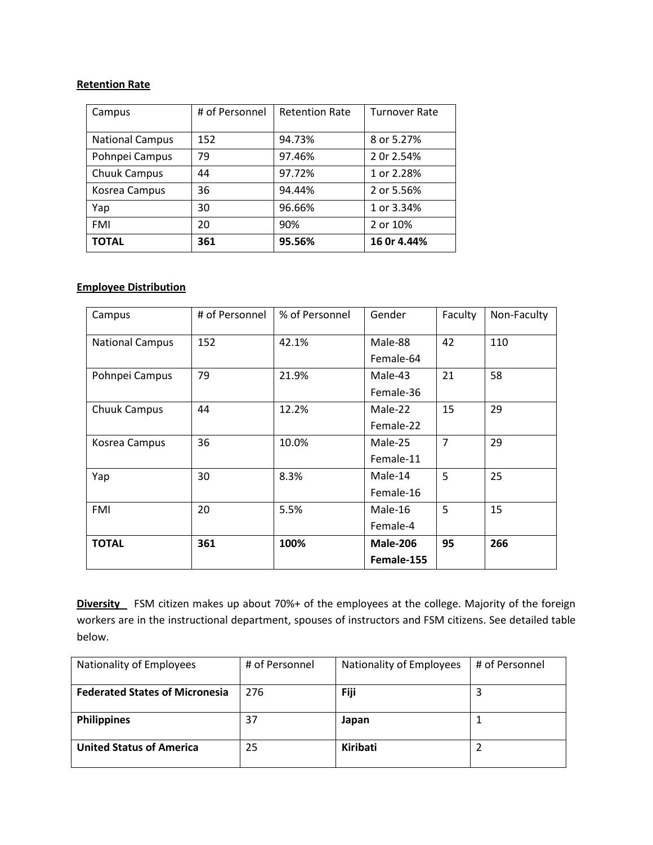#### **Retention Rate**

| Campus                 | # of Personnel | <b>Retention Rate</b> | <b>Turnover Rate</b> |
|------------------------|----------------|-----------------------|----------------------|
|                        |                |                       |                      |
| <b>National Campus</b> | 152            | 94.73%                | 8 or 5.27%           |
| Pohnpei Campus         | 79             | 97.46%                | 2 0r 2.54%           |
| Chuuk Campus           | 44             | 97.72%                | 1 or 2.28%           |
| Kosrea Campus          | 36             | 94.44%                | 2 or 5.56%           |
| Yap                    | 30             | 96.66%                | 1 or 3.34%           |
| <b>FMI</b>             | 20             | 90%                   | 2 or 10%             |
| <b>TOTAL</b>           | 361            | 95.56%                | 16 Or 4.44%          |

#### **Employee Distribution**

| Campus                 | # of Personnel | % of Personnel | Gender          | Faculty        | Non-Faculty |
|------------------------|----------------|----------------|-----------------|----------------|-------------|
| <b>National Campus</b> | 152            | 42.1%          | Male-88         | 42             | 110         |
|                        |                |                | Female-64       |                |             |
| Pohnpei Campus         | 79             | 21.9%          | Male-43         | 21             | 58          |
|                        |                |                | Female-36       |                |             |
| Chuuk Campus           | 44             | 12.2%          | Male-22         | 15             | 29          |
|                        |                |                | Female-22       |                |             |
| Kosrea Campus          | 36             | 10.0%          | Male-25         | $\overline{7}$ | 29          |
|                        |                |                | Female-11       |                |             |
| Yap                    | 30             | 8.3%           | Male-14         | 5              | 25          |
|                        |                |                | Female-16       |                |             |
| <b>FMI</b>             | 20             | 5.5%           | Male-16         | 5              | 15          |
|                        |                |                | Female-4        |                |             |
| <b>TOTAL</b>           | 361            | 100%           | <b>Male-206</b> | 95             | 266         |
|                        |                |                | Female-155      |                |             |

**Diversity** FSM citizen makes up about 70%+ of the employees at the college. Majority of the foreign workers are in the instructional department, spouses of instructors and FSM citizens. See detailed table below.

| Nationality of Employees              | # of Personnel | Nationality of Employees | # of Personnel |
|---------------------------------------|----------------|--------------------------|----------------|
| <b>Federated States of Micronesia</b> | 276            | Fiji                     | 3              |
| <b>Philippines</b>                    | 37             | Japan                    |                |
| <b>United Status of America</b>       | 25             | Kiribati                 |                |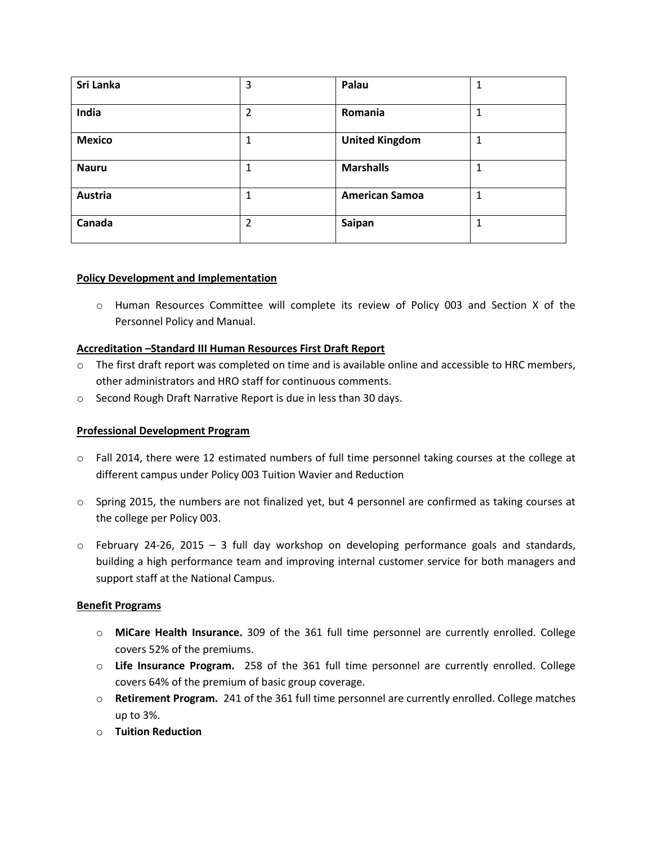| Sri Lanka     | 3 | Palau                 | 1 |
|---------------|---|-----------------------|---|
| India         | 2 | Romania               |   |
| <b>Mexico</b> | 1 | <b>United Kingdom</b> | 1 |
| <b>Nauru</b>  |   | <b>Marshalls</b>      |   |
| Austria       |   | <b>American Samoa</b> |   |
| Canada        | 2 | Saipan                |   |

#### **Policy Development and Implementation**

o Human Resources Committee will complete its review of Policy 003 and Section X of the Personnel Policy and Manual.

#### **Accreditation –Standard III Human Resources First Draft Report**

- o The first draft report was completed on time and is available online and accessible to HRC members, other administrators and HRO staff for continuous comments.
- o Second Rough Draft Narrative Report is due in less than 30 days.

#### **Professional Development Program**

- o Fall 2014, there were 12 estimated numbers of full time personnel taking courses at the college at different campus under Policy 003 Tuition Wavier and Reduction
- o Spring 2015, the numbers are not finalized yet, but 4 personnel are confirmed as taking courses at the college per Policy 003.
- $\circ$  February 24-26, 2015 3 full day workshop on developing performance goals and standards, building a high performance team and improving internal customer service for both managers and support staff at the National Campus.

#### **Benefit Programs**

- o **MiCare Health Insurance.** 309 of the 361 full time personnel are currently enrolled. College covers 52% of the premiums.
- o **Life Insurance Program.** 258 of the 361 full time personnel are currently enrolled. College covers 64% of the premium of basic group coverage.
- o **Retirement Program.** 241 of the 361 full time personnel are currently enrolled. College matches up to 3%.
- o **Tuition Reduction**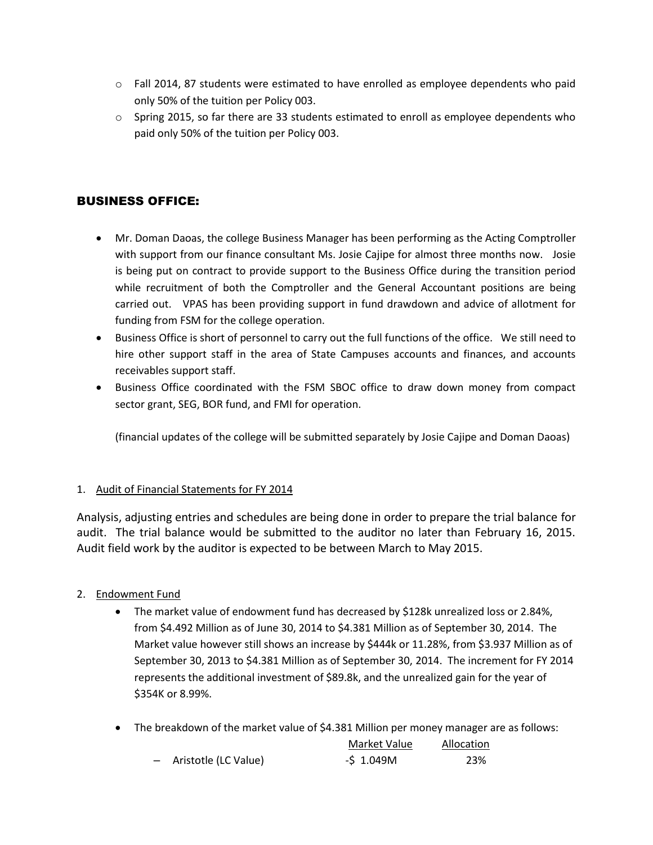- $\circ$  Fall 2014, 87 students were estimated to have enrolled as employee dependents who paid only 50% of the tuition per Policy 003.
- o Spring 2015, so far there are 33 students estimated to enroll as employee dependents who paid only 50% of the tuition per Policy 003.

## BUSINESS OFFICE:

- Mr. Doman Daoas, the college Business Manager has been performing as the Acting Comptroller with support from our finance consultant Ms. Josie Cajipe for almost three months now. Josie is being put on contract to provide support to the Business Office during the transition period while recruitment of both the Comptroller and the General Accountant positions are being carried out. VPAS has been providing support in fund drawdown and advice of allotment for funding from FSM for the college operation.
- Business Office is short of personnel to carry out the full functions of the office. We still need to hire other support staff in the area of State Campuses accounts and finances, and accounts receivables support staff.
- Business Office coordinated with the FSM SBOC office to draw down money from compact sector grant, SEG, BOR fund, and FMI for operation.

(financial updates of the college will be submitted separately by Josie Cajipe and Doman Daoas)

#### 1. Audit of Financial Statements for FY 2014

Analysis, adjusting entries and schedules are being done in order to prepare the trial balance for audit. The trial balance would be submitted to the auditor no later than February 16, 2015. Audit field work by the auditor is expected to be between March to May 2015.

#### 2. Endowment Fund

- The market value of endowment fund has decreased by \$128k unrealized loss or 2.84%, from \$4.492 Million as of June 30, 2014 to \$4.381 Million as of September 30, 2014. The Market value however still shows an increase by \$444k or 11.28%, from \$3.937 Million as of September 30, 2013 to \$4.381 Million as of September 30, 2014. The increment for FY 2014 represents the additional investment of \$89.8k, and the unrealized gain for the year of \$354K or 8.99%.
- The breakdown of the market value of \$4.381 Million per money manager are as follows:

|                        | Market Value | Allocation |
|------------------------|--------------|------------|
| - Aristotle (LC Value) | $-5$ 1.049M  | 23%        |